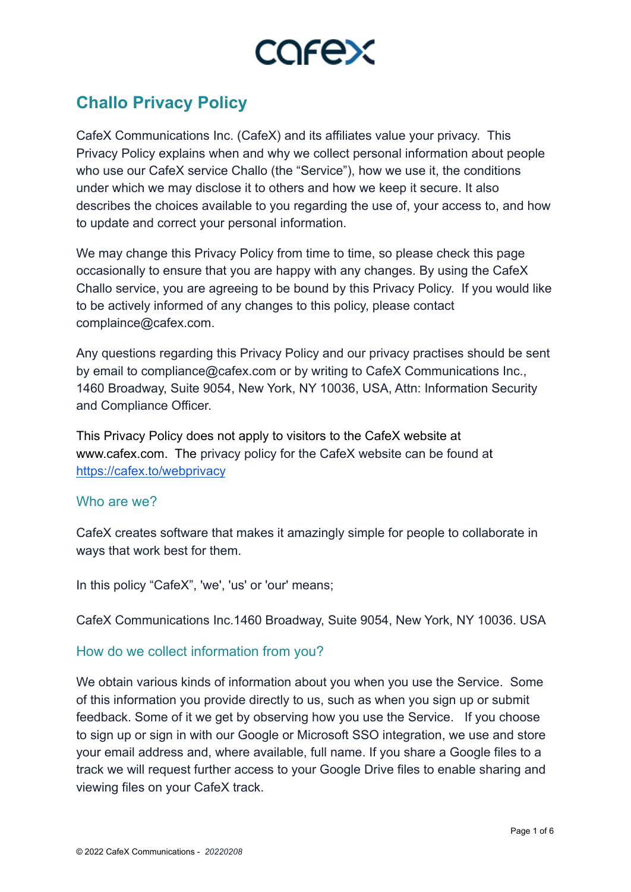

# **Challo Privacy Policy**

CafeX Communications Inc. (CafeX) and its affiliates value your privacy. This Privacy Policy explains when and why we collect personal information about people who use our CafeX service Challo (the "Service"), how we use it, the conditions under which we may disclose it to others and how we keep it secure. It also describes the choices available to you regarding the use of, your access to, and how to update and correct your personal information.

We may change this Privacy Policy from time to time, so please check this page occasionally to ensure that you are happy with any changes. By using the CafeX Challo service, you are agreeing to be bound by this Privacy Policy. If you would like to be actively informed of any changes to this policy, please contact complaince@cafex.com.

Any questions regarding this Privacy Policy and our privacy practises should be sent by email to compliance@cafex.com or by writing to CafeX Communications Inc., 1460 Broadway, Suite 9054, New York, NY 10036, USA, Attn: Information Security and Compliance Officer.

This Privacy Policy does not apply to visitors to the CafeX website at www.cafex.com. The privacy policy for the CafeX website can be found at <https://cafex.to/webprivacy>

#### Who are we?

CafeX creates software that makes it amazingly simple for people to collaborate in ways that work best for them.

In this policy "CafeX", 'we', 'us' or 'our' means;

CafeX Communications Inc.1460 Broadway, Suite 9054, New York, NY 10036. USA

#### How do we collect information from you?

We obtain various kinds of information about you when you use the Service. Some of this information you provide directly to us, such as when you sign up or submit feedback. Some of it we get by observing how you use the Service. If you choose to sign up or sign in with our Google or Microsoft SSO integration, we use and store your email address and, where available, full name. If you share a Google files to a track we will request further access to your Google Drive files to enable sharing and viewing files on your CafeX track.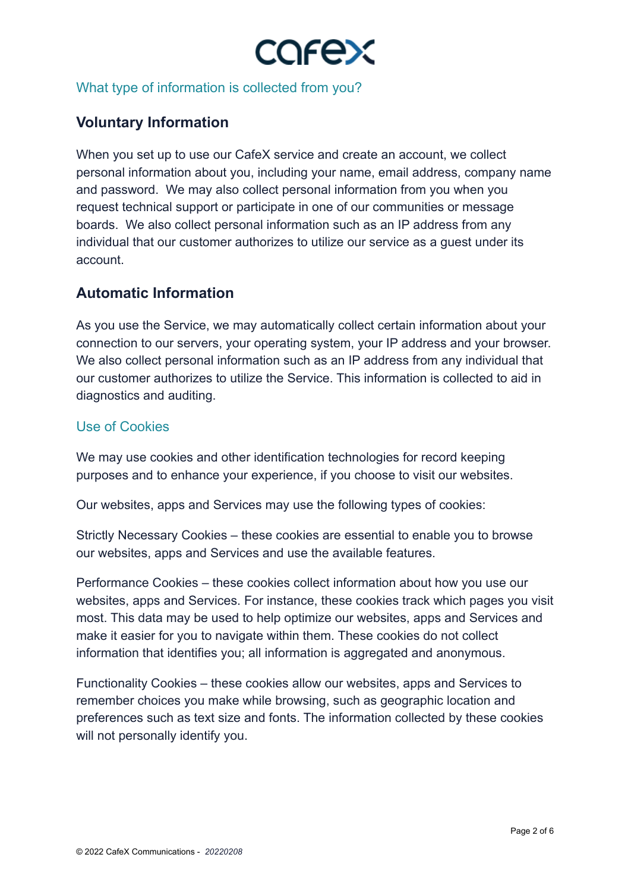

What type of information is collected from you?

# **Voluntary Information**

When you set up to use our CafeX service and create an account, we collect personal information about you, including your name, email address, company name and password. We may also collect personal information from you when you request technical support or participate in one of our communities or message boards. We also collect personal information such as an IP address from any individual that our customer authorizes to utilize our service as a guest under its account.

# **Automatic Information**

As you use the Service, we may automatically collect certain information about your connection to our servers, your operating system, your IP address and your browser. We also collect personal information such as an IP address from any individual that our customer authorizes to utilize the Service. This information is collected to aid in diagnostics and auditing.

# Use of Cookies

We may use cookies and other identification technologies for record keeping purposes and to enhance your experience, if you choose to visit our websites.

Our websites, apps and Services may use the following types of cookies:

Strictly Necessary Cookies – these cookies are essential to enable you to browse our websites, apps and Services and use the available features.

Performance Cookies – these cookies collect information about how you use our websites, apps and Services. For instance, these cookies track which pages you visit most. This data may be used to help optimize our websites, apps and Services and make it easier for you to navigate within them. These cookies do not collect information that identifies you; all information is aggregated and anonymous.

Functionality Cookies – these cookies allow our websites, apps and Services to remember choices you make while browsing, such as geographic location and preferences such as text size and fonts. The information collected by these cookies will not personally identify you.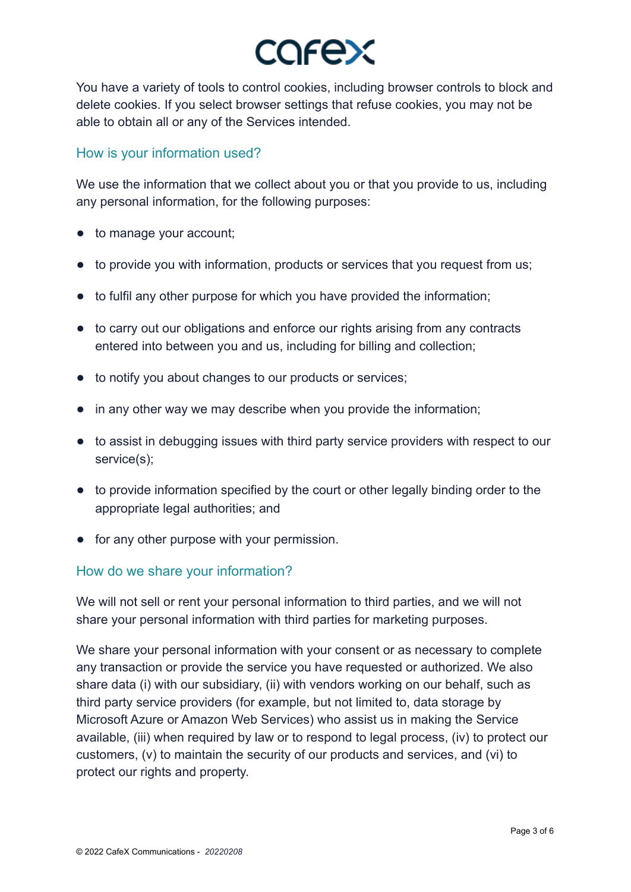

You have a variety of tools to control cookies, including browser controls to block and delete cookies. If you select browser settings that refuse cookies, you may not be able to obtain all or any of the Services intended.

### How is your information used?

We use the information that we collect about you or that you provide to us, including any personal information, for the following purposes:

- to manage your account;
- to provide you with information, products or services that you request from us;
- to fulfil any other purpose for which you have provided the information;
- to carry out our obligations and enforce our rights arising from any contracts entered into between you and us, including for billing and collection;
- to notify you about changes to our products or services;
- in any other way we may describe when you provide the information;
- to assist in debugging issues with third party service providers with respect to our service(s);
- to provide information specified by the court or other legally binding order to the appropriate legal authorities; and
- for any other purpose with your permission.

# How do we share your information?

We will not sell or rent your personal information to third parties, and we will not share your personal information with third parties for marketing purposes.

We share your personal information with your consent or as necessary to complete any transaction or provide the service you have requested or authorized. We also share data (i) with our subsidiary, (ii) with vendors working on our behalf, such as third party service providers (for example, but not limited to, data storage by Microsoft Azure or Amazon Web Services) who assist us in making the Service available, (iii) when required by law or to respond to legal process, (iv) to protect our customers, (v) to maintain the security of our products and services, and (vi) to protect our rights and property.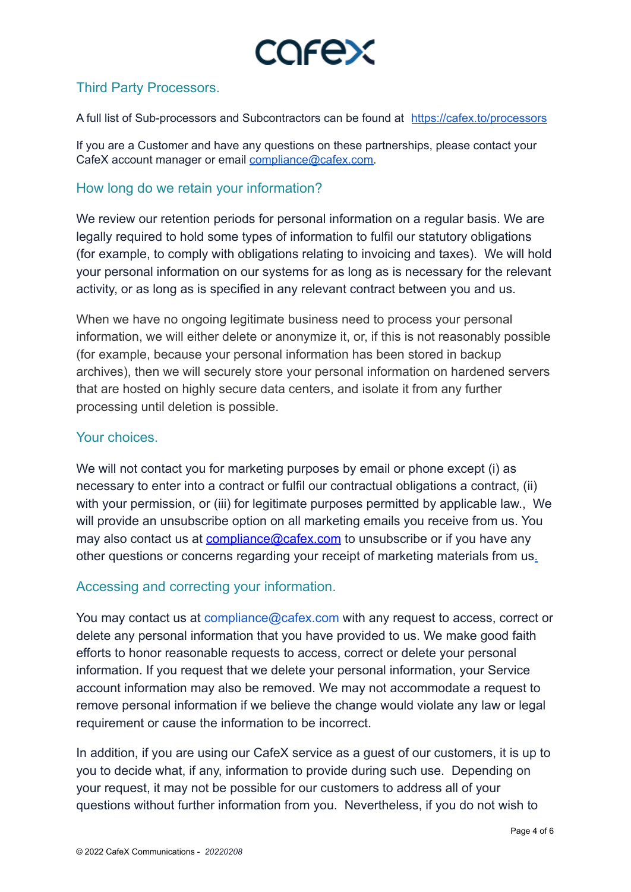

# Third Party Processors.

A full list of Sub-processors and Subcontractors can be found at <https://cafex.to/processors>

If you are a Customer and have any questions on these partnerships, please contact your CafeX account manager or email [compliance@cafex.com.](mailto:compliance@cafex.com)

#### How long do we retain your information?

We review our retention periods for personal information on a regular basis. We are legally required to hold some types of information to fulfil our statutory obligations (for example, to comply with obligations relating to invoicing and taxes). We will hold your personal information on our systems for as long as is necessary for the relevant activity, or as long as is specified in any relevant contract between you and us.

When we have no ongoing legitimate business need to process your personal information, we will either delete or anonymize it, or, if this is not reasonably possible (for example, because your personal information has been stored in backup archives), then we will securely store your personal information on hardened servers that are hosted on highly secure data centers, and isolate it from any further processing until deletion is possible.

#### Your choices.

We will not contact you for marketing purposes by email or phone except (i) as necessary to enter into a contract or fulfil our contractual obligations a contract, (ii) with your permission, or (iii) for legitimate purposes permitted by applicable law., We will provide an unsubscribe option on all marketing emails you receive from us. You may also contact us at [compliance@cafex.com](mailto:compliance@cafex.com) to unsubscribe or if you have any other questions or concerns regarding your receipt of marketing materials from us.

# Accessing and correcting your information.

You may contact us at compliance@cafex.com with any request to access, correct or delete any personal information that you have provided to us. We make good faith efforts to honor reasonable requests to access, correct or delete your personal information. If you request that we delete your personal information, your Service account information may also be removed. We may not accommodate a request to remove personal information if we believe the change would violate any law or legal requirement or cause the information to be incorrect.

In addition, if you are using our CafeX service as a guest of our customers, it is up to you to decide what, if any, information to provide during such use. Depending on your request, it may not be possible for our customers to address all of your questions without further information from you. Nevertheless, if you do not wish to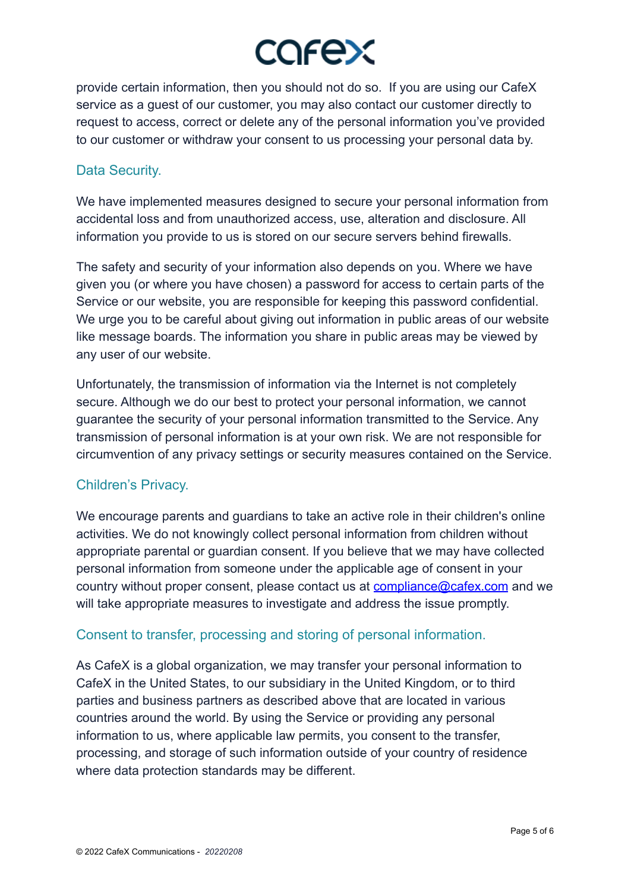# COFEX

provide certain information, then you should not do so. If you are using our CafeX service as a guest of our customer, you may also contact our customer directly to request to access, correct or delete any of the personal information you've provided to our customer or withdraw your consent to us processing your personal data by.

# Data Security.

We have implemented measures designed to secure your personal information from accidental loss and from unauthorized access, use, alteration and disclosure. All information you provide to us is stored on our secure servers behind firewalls.

The safety and security of your information also depends on you. Where we have given you (or where you have chosen) a password for access to certain parts of the Service or our website, you are responsible for keeping this password confidential. We urge you to be careful about giving out information in public areas of our website like message boards. The information you share in public areas may be viewed by any user of our website.

Unfortunately, the transmission of information via the Internet is not completely secure. Although we do our best to protect your personal information, we cannot guarantee the security of your personal information transmitted to the Service. Any transmission of personal information is at your own risk. We are not responsible for circumvention of any privacy settings or security measures contained on the Service.

# Children's Privacy.

We encourage parents and guardians to take an active role in their children's online activities. We do not knowingly collect personal information from children without appropriate parental or guardian consent. If you believe that we may have collected personal information from someone under the applicable age of consent in your country without proper consent, please contact us at **[compliance@cafex.com](mailto:compliance@cafex.com)** and we will take appropriate measures to investigate and address the issue promptly.

# Consent to transfer, processing and storing of personal information.

As CafeX is a global organization, we may transfer your personal information to CafeX in the United States, to our subsidiary in the United Kingdom, or to third parties and business partners as described above that are located in various countries around the world. By using the Service or providing any personal information to us, where applicable law permits, you consent to the transfer, processing, and storage of such information outside of your country of residence where data protection standards may be different.